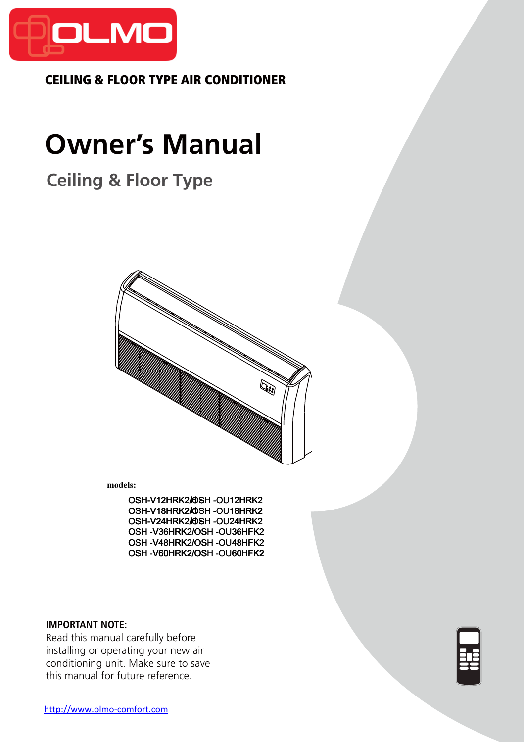

**CEILING & FLOOR TYPE AIR CONDITIONER**

# **Owner's Manual**

**Ceiling & Floor Type**



**models:**

OSH-V12HRK2/OSH-OU12HRK2 OSH-V18HRK2/OSH-OU18HRK2 OSH-V24HRK2/OSH-OU24HRK2 OSH - -V36HRK2/OSH -OU36HFK2 OSH - -V48HRK2/OSH -OU48HFK2 OSH - -V60HRK2/OSH -OU60HFK2

#### **IMPORTANT NOTE:**

Read this manual carefully before installing or operating your new air conditioning unit. Make sure to save this manual for future reference.

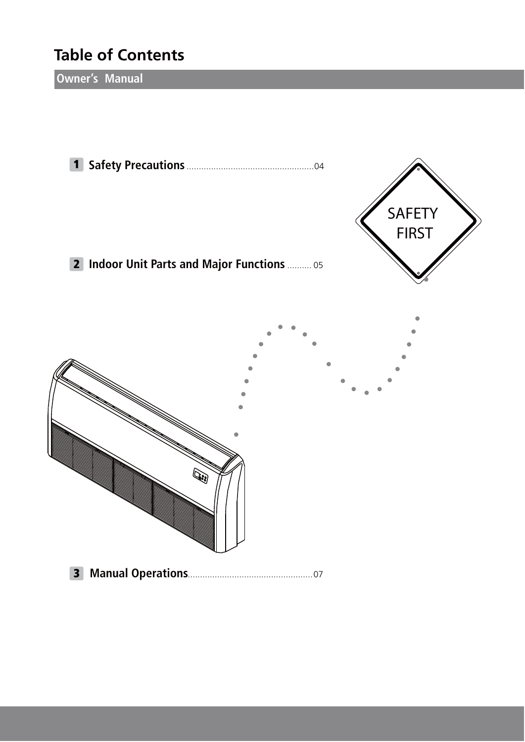# **Table of Contents**

**Owner's Manual**

**1 Safety Precautions** ....................................................04

**Indoor Unit Parts and Major Functions** .......... 05 **2**



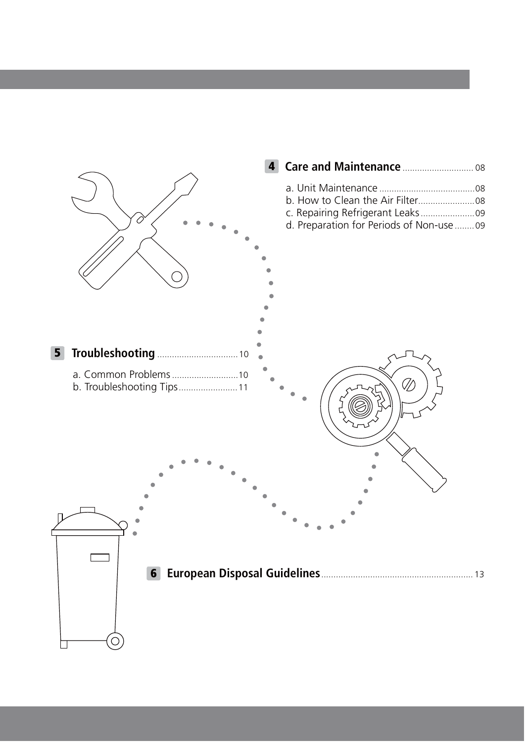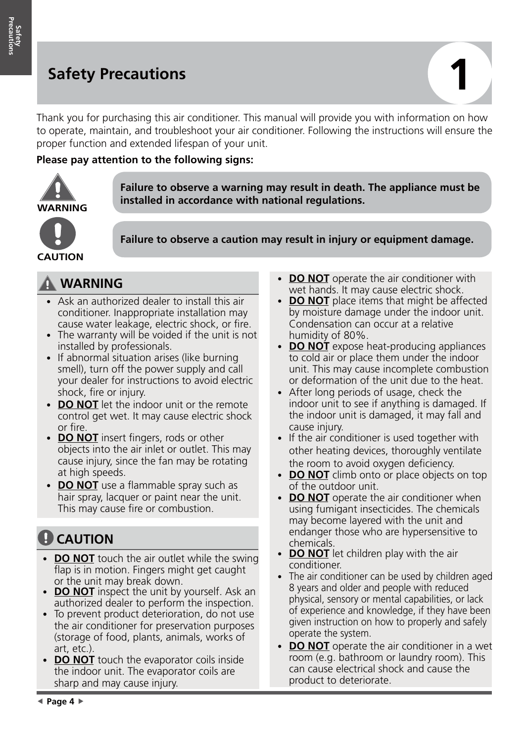# **Safety Precautions**

Thank you for purchasing this air conditioner. This manual will provide you with information on how to operate, maintain, and troubleshoot your air conditioner. Following the instructions will ensure the proper function and extended lifespan of your unit.

## **Please pay attention to the following signs:**



**Failure to observe a warning may result in death. The appliance must be installed in accordance with national regulations.** .



**Failure to observe a caution may result in injury or equipment damage.**

## **WARNING**

- Ask an authorized dealer to install this air conditioner. Inappropriate installation may cause water leakage, electric shock, or fire.
- The warranty will be voided if the unit is not installed by professionals.
- If abnormal situation arises (like burning smell), turn off the power supply and call your dealer for instructions to avoid electric shock, fire or injury.
- **DO NOT** let the indoor unit or the remote control get wet. It may cause electric shock or fire.
- **DO NOT** insert fingers, rods or other objects into the air inlet or outlet. This may cause injury, since the fan may be rotating at high speeds.
- **DO NOT** use a flammable spray such as hair spray, lacquer or paint near the unit. This may cause fire or combustion.

# **CAUTION**

- **DO NOT** touch the air outlet while the swing flap is in motion. Fingers might get caught or the unit may break down.
- **DO NOT** inspect the unit by yourself. Ask an authorized dealer to perform the inspection.
- To prevent product deterioration, do not use the air conditioner for preservation purposes (storage of food, plants, animals, works of art, etc.).
- **DO NOT** touch the evaporator coils inside the indoor unit. The evaporator coils are sharp and may cause injury.
- **DO NOT** operate the air conditioner with wet hands. It may cause electric shock.
- **DO NOT** place items that might be affected by moisture damage under the indoor unit. Condensation can occur at a relative humidity of 80%.
- **DO NOT** expose heat-producing appliances to cold air or place them under the indoor unit. This may cause incomplete combustion or deformation of the unit due to the heat.
- After long periods of usage, check the indoor unit to see if anything is damaged. If the indoor unit is damaged, it may fall and cause injury.
- If the air conditioner is used together with other heating devices, thoroughly ventilate the room to avoid oxygen deficiency.
- **DO NOT** climb onto or place objects on top of the outdoor unit.
- **DO NOT** operate the air conditioner when using fumigant insecticides. The chemicals may become layered with the unit and endanger those who are hypersensitive to chemicals.
- **DO NOT** let children play with the air conditioner.
- The air conditioner can be used by children aged 8 years and older and people with reduced physical, sensory or mental capabilities, or lack of experience and knowledge, if they have been given instruction on how to properly and safely operate the system.
- **DO NOT** operate the air conditioner in a wet room (e.g. bathroom or laundry room). This can cause electrical shock and cause the product to deteriorate.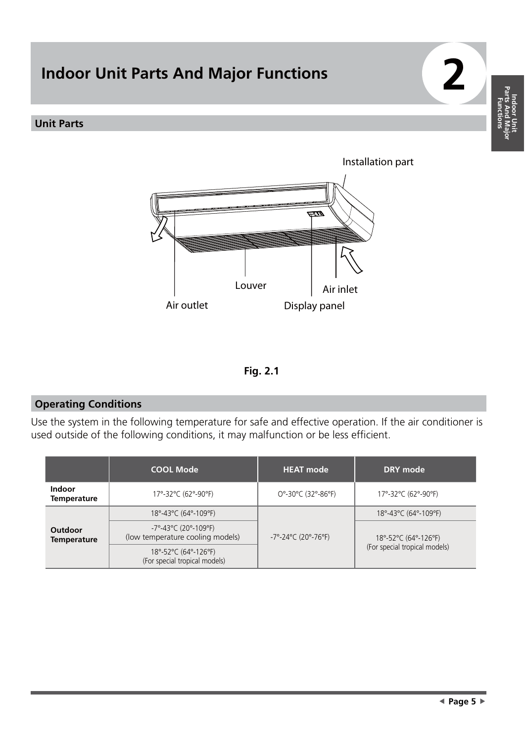

**Fig. 2.1**

Air outlet **Display panel** 

## **Operating Conditions**

Use the system in the following temperature for safe and effective operation. If the air conditioner is used outside of the following conditions, it may malfunction or be less efficient.

|                               | <b>COOL Mode</b>                                                            | <b>HEAT mode</b>                                               | DRY mode                                              |  |
|-------------------------------|-----------------------------------------------------------------------------|----------------------------------------------------------------|-------------------------------------------------------|--|
| <b>Indoor</b><br>Temperature  | 17°-32°C (62°-90°F)                                                         | 0°-30°C (32°-86°F)                                             | 17°-32°C (62°-90°F)                                   |  |
| Outdoor<br><b>Temperature</b> | 18°-43°C (64°-109°F)                                                        |                                                                | 18°-43°C (64°-109°F)                                  |  |
|                               | $-7^{\circ} - 43^{\circ}$ C (20°-109°F)<br>(low temperature cooling models) | $-7^{\circ}$ -24 $^{\circ}$ C (20 $^{\circ}$ -76 $^{\circ}$ F) | 18°-52°C (64°-126°F)<br>(For special tropical models) |  |
|                               | 18°-52°C (64°-126°F)<br>(For special tropical models)                       |                                                                |                                                       |  |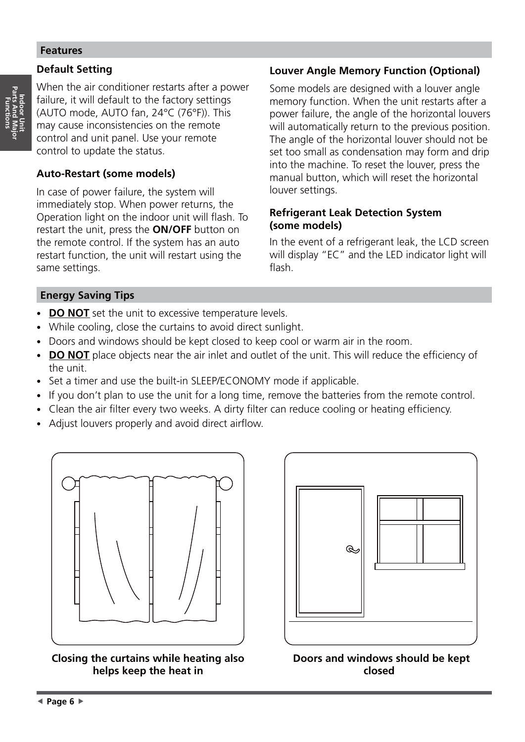#### **Features**

## **Default Setting**

When the air conditioner restarts after a power failure, it will default to the factory settings (AUTO mode, AUTO fan, 24°C (76°F)). This may cause inconsistencies on the remote control and unit panel. Use your remote control to update the status.

## **Auto-Restart (some models)**

In case of power failure, the system will immediately stop. When power returns, the Operation light on the indoor unit will flash. To restart the unit, press the **ON/OFF** button on the remote control. If the system has an auto restart function, the unit will restart using the same settings.

## **Louver Angle Memory Function (Optional)**

Some models are designed with a louver angle memory function. When the unit restarts after a power failure, the angle of the horizontal louvers will automatically return to the previous position. The angle of the horizontal louver should not be set too small as condensation may form and drip into the machine. To reset the louver, press the manual button, which will reset the horizontal louver settings.

### **Refrigerant Leak Detection System (some models)**

In the event of a refrigerant leak, the LCD screen will display "EC" and the LED indicator light will flash.

## **Energy Saving Tips**

- **DO NOT** set the unit to excessive temperature levels.
- While cooling, close the curtains to avoid direct sunlight.
- Doors and windows should be kept closed to keep cool or warm air in the room.
- **DO NOT** place objects near the air inlet and outlet of the unit. This will reduce the efficiency of the unit.
- Set a timer and use the built-in SLEEP/ECONOMY mode if applicable.
- If you don't plan to use the unit for a long time, remove the batteries from the remote control.
- Clean the air filter every two weeks. A dirty filter can reduce cooling or heating efficiency.
- Adjust louvers properly and avoid direct airflow.



**Closing the curtains while heating also helps keep the heat in** 



**Doors and windows should be kept closed**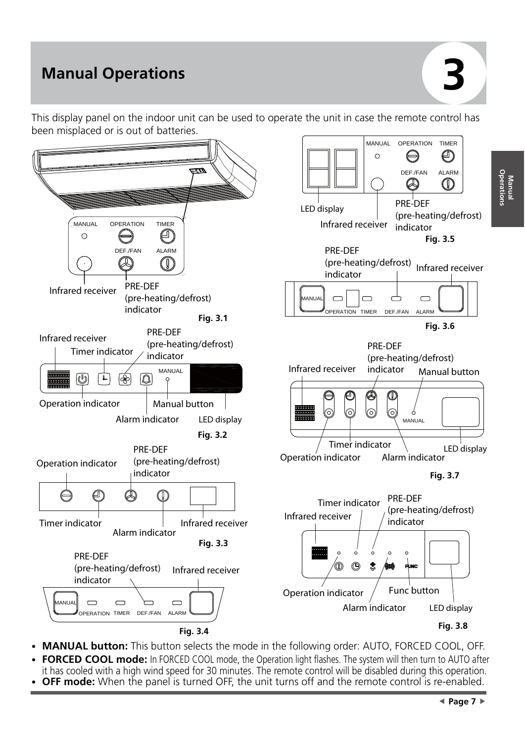# **Manual Operations 3**

This display panel on the indoor unit can be used to operate the unit in case the remote control has been misplaced or is out of batteries.



- **MANUAL button:** This button selects the mode in the following order: AUTO, FORCED COOL, OFF.
- **FORCED COOL mode:** In FORCED COOL mode, the Operation light flashes. The system will then turn to AUTO after it has cooled with a high wind speed for 30 minutes. The remote control will be disabled during this operation.
- **OFF mode:** When the panel is turned OFF, the unit turns off and the remote control is re-enabled.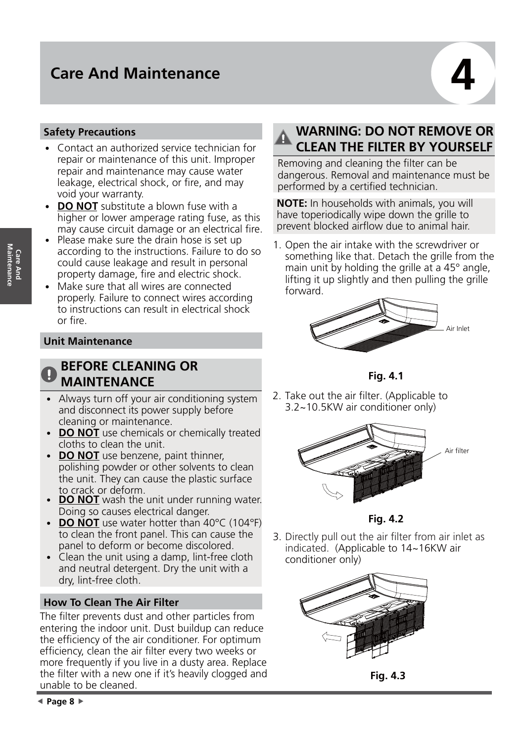# **Care And Maintenance 4**

#### **Safety Precautions**

- Contact an authorized service technician for repair or maintenance of this unit. Improper repair and maintenance may cause water leakage, electrical shock, or fire, and may void your warranty.
- **DO NOT** substitute a blown fuse with a higher or lower amperage rating fuse, as this may cause circuit damage or an electrical fire.
- Please make sure the drain hose is set up according to the instructions. Failure to do so could cause leakage and result in personal property damage, fire and electric shock.
- Make sure that all wires are connected properly. Failure to connect wires according to instructions can result in electrical shock or fire.

#### **Unit Maintenance**

## **BEFORE CLEANING OR MAINTENANCE**

- Always turn off your air conditioning system and disconnect its power supply before cleaning or maintenance.
- **DO NOT** use chemicals or chemically treated cloths to clean the unit.
- **DO NOT** use benzene, paint thinner, polishing powder or other solvents to clean the unit. They can cause the plastic surface to crack or deform.
- **DO NOT** wash the unit under running water. Doing so causes electrical danger.
- **DO NOT** use water hotter than 40°C (104°F) to clean the front panel. This can cause the panel to deform or become discolored.
- Clean the unit using a damp, lint-free cloth and neutral detergent. Dry the unit with a dry, lint-free cloth.

#### **How To Clean The Air Filter**

The filter prevents dust and other particles from entering the indoor unit. Dust buildup can reduce the efficiency of the air conditioner. For optimum efficiency, clean the air filter every two weeks or more frequently if you live in a dusty area. Replace the filter with a new one if it's heavily clogged and unable to be cleaned.

## **WARNING: DO NOT REMOVE OR CLEAN THE FILTER BY YOURSELF**

Removing and cleaning the filter can be dangerous. Removal and maintenance must be performed by a certified technician.

**NOTE:** In households with animals, you will have toperiodically wipe down the grille to prevent blocked airflow due to animal hair.

1. Open the air intake with the screwdriver or something like that. Detach the grille from the main unit by holding the grille at a 45° angle, lifting it up slightly and then pulling the grille forward.





2. Take out the air filter. (Applicable to 3.2~10.5KW air conditioner only)



**Fig. 4.2**

3. Directly pull out the air filter from air inlet as indicated. (Applicable to 14~16KW air conditioner only)



**Fig. 4.3**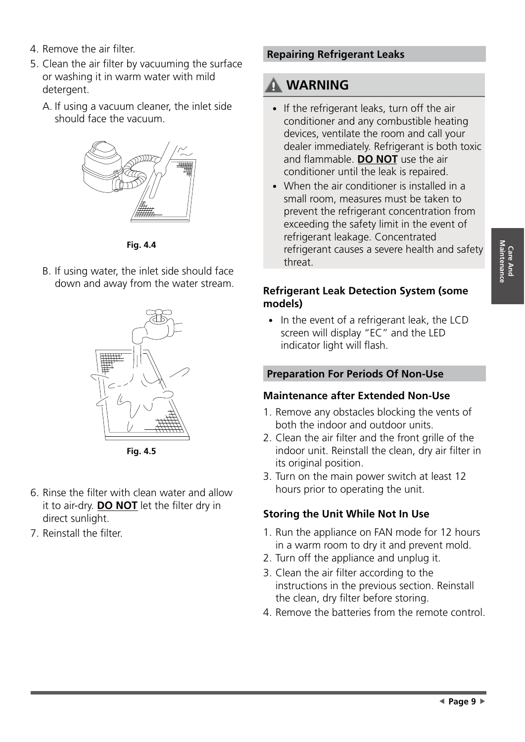- 4. Remove the air filter.
- 5. Clean the air filter by vacuuming the surface or washing it in warm water with mild detergent.
	- A. If using a vacuum cleaner, the inlet side should face the vacuum.



**Fig. 4.4**

B. If using water, the inlet side should face down and away from the water stream.



**Fig. 4.5**

- 6. Rinse the filter with clean water and allow it to air-dry. **DO NOT** let the filter dry in direct sunlight.
- 7. Reinstall the filter.

## **Repairing Refrigerant Leaks**

## **WARNING**

- If the refrigerant leaks, turn off the air conditioner and any combustible heating devices, ventilate the room and call your dealer immediately. Refrigerant is both toxic and flammable. **DO NOT** use the air conditioner until the leak is repaired.
- When the air conditioner is installed in a small room, measures must be taken to prevent the refrigerant concentration from exceeding the safety limit in the event of refrigerant leakage. Concentrated refrigerant causes a severe health and safety threat.

### **Refrigerant Leak Detection System (some models)**

• In the event of a refrigerant leak, the LCD screen will display "EC" and the LED indicator light will flash.

## **Preparation For Periods Of Non-Use**

## **Maintenance after Extended Non-Use**

- 1. Remove any obstacles blocking the vents of both the indoor and outdoor units.
- 2. Clean the air filter and the front grille of the indoor unit. Reinstall the clean, dry air filter in its original position.
- 3. Turn on the main power switch at least 12 hours prior to operating the unit.

## **Storing the Unit While Not In Use**

- 1. Run the appliance on FAN mode for 12 hours in a warm room to dry it and prevent mold.
- 2. Turn off the appliance and unplug it.
- 3. Clean the air filter according to the instructions in the previous section. Reinstall the clean, dry filter before storing.
- 4. Remove the batteries from the remote control.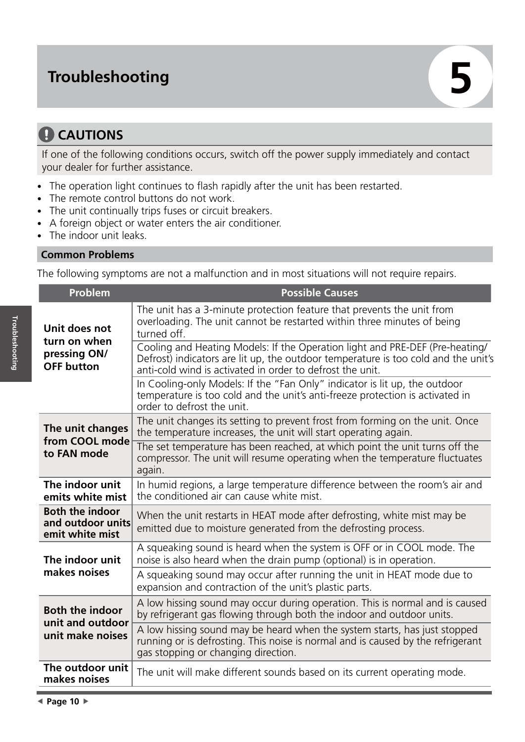# **Troubleshooting 5**

# **CAUTIONS**

If one of the following conditions occurs, switch off the power supply immediately and contact your dealer for further assistance.

- The operation light continues to flash rapidly after the unit has been restarted.
- The remote control buttons do not work.
- The unit continually trips fuses or circuit breakers.
- A foreign object or water enters the air conditioner.
- The indoor unit leaks.

### **Common Problems**

The following symptoms are not a malfunction and in most situations will not require repairs.

| Problem                                                        | <b>Possible Causes</b>                                                                                                                                                                                                          |  |  |  |
|----------------------------------------------------------------|---------------------------------------------------------------------------------------------------------------------------------------------------------------------------------------------------------------------------------|--|--|--|
| Unit does not<br>turn on when                                  | The unit has a 3-minute protection feature that prevents the unit from<br>overloading. The unit cannot be restarted within three minutes of being<br>turned off.                                                                |  |  |  |
| pressing ON/<br><b>OFF button</b>                              | Cooling and Heating Models: If the Operation light and PRE-DEF (Pre-heating/<br>Defrost) indicators are lit up, the outdoor temperature is too cold and the unit's<br>anti-cold wind is activated in order to defrost the unit. |  |  |  |
|                                                                | In Cooling-only Models: If the "Fan Only" indicator is lit up, the outdoor<br>temperature is too cold and the unit's anti-freeze protection is activated in<br>order to defrost the unit.                                       |  |  |  |
| The unit changes<br>from COOL mode                             | The unit changes its setting to prevent frost from forming on the unit. Once<br>the temperature increases, the unit will start operating again.                                                                                 |  |  |  |
| to FAN mode                                                    | The set temperature has been reached, at which point the unit turns off the<br>compressor. The unit will resume operating when the temperature fluctuates<br>again.                                                             |  |  |  |
| The indoor unit<br>emits white mist                            | In humid regions, a large temperature difference between the room's air and<br>the conditioned air can cause white mist.                                                                                                        |  |  |  |
| <b>Both the indoor</b><br>and outdoor units<br>emit white mist | When the unit restarts in HEAT mode after defrosting, white mist may be<br>emitted due to moisture generated from the defrosting process.                                                                                       |  |  |  |
| The indoor unit                                                | A squeaking sound is heard when the system is OFF or in COOL mode. The<br>noise is also heard when the drain pump (optional) is in operation.                                                                                   |  |  |  |
| makes noises                                                   | A squeaking sound may occur after running the unit in HEAT mode due to<br>expansion and contraction of the unit's plastic parts.                                                                                                |  |  |  |
| <b>Both the indoor</b><br>unit and outdoor                     | A low hissing sound may occur during operation. This is normal and is caused<br>by refrigerant gas flowing through both the indoor and outdoor units.                                                                           |  |  |  |
| unit make noises                                               | A low hissing sound may be heard when the system starts, has just stopped<br>running or is defrosting. This noise is normal and is caused by the refrigerant<br>gas stopping or changing direction.                             |  |  |  |
| The outdoor unit<br>makes noises                               | The unit will make different sounds based on its current operating mode.                                                                                                                                                        |  |  |  |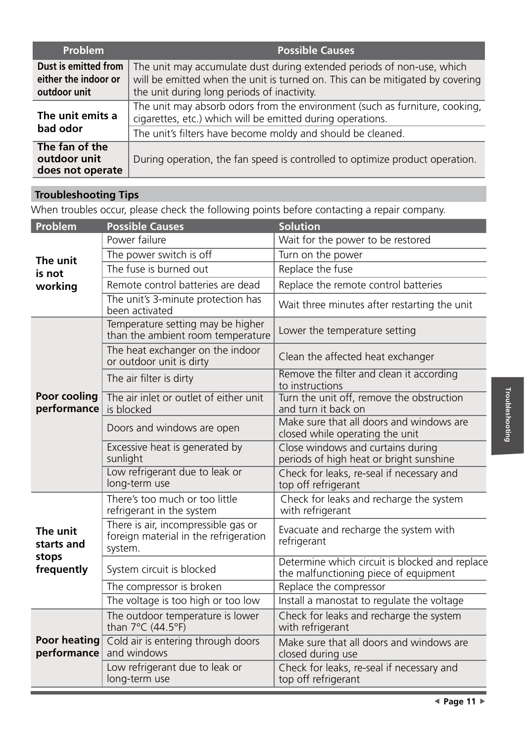| <b>Problem</b>                                               | <b>Possible Causes</b>                                                                                                                                                                                 |
|--------------------------------------------------------------|--------------------------------------------------------------------------------------------------------------------------------------------------------------------------------------------------------|
| Dust is emitted from<br>either the indoor or<br>outdoor unit | The unit may accumulate dust during extended periods of non-use, which<br>will be emitted when the unit is turned on. This can be mitigated by covering<br>the unit during long periods of inactivity. |
| The unit emits a                                             | The unit may absorb odors from the environment (such as furniture, cooking,<br>cigarettes, etc.) which will be emitted during operations.                                                              |
| bad odor                                                     | The unit's filters have become moldy and should be cleaned.                                                                                                                                            |
| The fan of the<br>outdoor unit<br>does not operate           | During operation, the fan speed is controlled to optimize product operation.                                                                                                                           |

## **Troubleshooting Tips**

When troubles occur, please check the following points before contacting a repair company.

| Problem                                       | <b>Possible Causes</b>                                                                  | <b>Solution</b>                                                                         |  |
|-----------------------------------------------|-----------------------------------------------------------------------------------------|-----------------------------------------------------------------------------------------|--|
| The unit<br>is not<br>working                 | Power failure                                                                           | Wait for the power to be restored                                                       |  |
|                                               | The power switch is off                                                                 | Turn on the power                                                                       |  |
|                                               | The fuse is burned out                                                                  | Replace the fuse                                                                        |  |
|                                               | Remote control batteries are dead                                                       | Replace the remote control batteries                                                    |  |
|                                               | The unit's 3-minute protection has<br>been activated                                    | Wait three minutes after restarting the unit                                            |  |
| Poor cooling<br>performance                   | Temperature setting may be higher<br>than the ambient room temperature                  | Lower the temperature setting                                                           |  |
|                                               | The heat exchanger on the indoor<br>or outdoor unit is dirty                            | Clean the affected heat exchanger                                                       |  |
|                                               | The air filter is dirty                                                                 | Remove the filter and clean it according<br>to instructions                             |  |
|                                               | The air inlet or outlet of either unit<br>is blocked                                    | Turn the unit off, remove the obstruction<br>and turn it back on                        |  |
|                                               | Doors and windows are open                                                              | Make sure that all doors and windows are<br>closed while operating the unit             |  |
|                                               | Excessive heat is generated by<br>sunlight                                              | Close windows and curtains during<br>periods of high heat or bright sunshine            |  |
|                                               | Low refrigerant due to leak or<br>long-term use                                         | Check for leaks, re-seal if necessary and<br>top off refrigerant                        |  |
| The unit<br>starts and<br>stops<br>frequently | There's too much or too little<br>refrigerant in the system                             | Check for leaks and recharge the system<br>with refrigerant                             |  |
|                                               | There is air, incompressible gas or<br>foreign material in the refrigeration<br>system. | Evacuate and recharge the system with<br>refrigerant                                    |  |
|                                               | System circuit is blocked                                                               | Determine which circuit is blocked and replace<br>the malfunctioning piece of equipment |  |
|                                               | The compressor is broken                                                                | Replace the compressor                                                                  |  |
|                                               | The voltage is too high or too low                                                      | Install a manostat to regulate the voltage                                              |  |
| <b>Poor heating</b><br>performance            | The outdoor temperature is lower<br>than $7^{\circ}$ C (44.5°F)                         | Check for leaks and recharge the system<br>with refrigerant                             |  |
|                                               | Cold air is entering through doors<br>and windows                                       | Make sure that all doors and windows are<br>closed during use                           |  |
|                                               | Low refrigerant due to leak or<br>long-term use                                         | Check for leaks, re-seal if necessary and<br>top off refrigerant                        |  |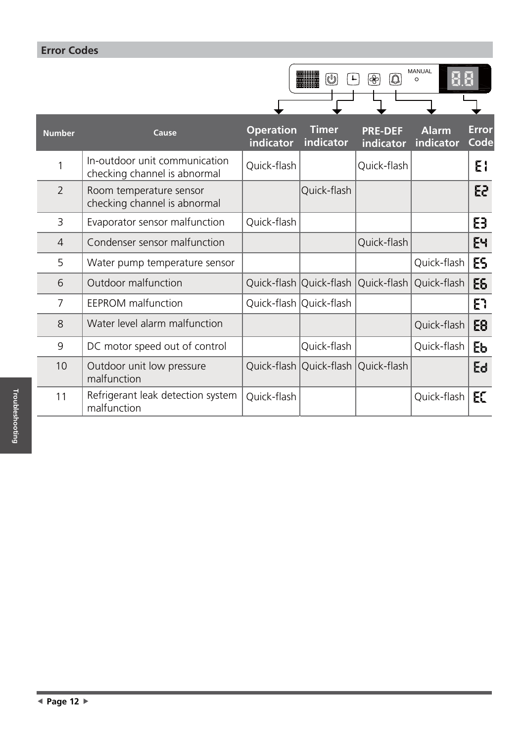## **Error Codes**

|                |                                                               |                               | $\circledcirc$            | ⊗                           | <b>MANUAL</b><br>$\circ$  |                      |
|----------------|---------------------------------------------------------------|-------------------------------|---------------------------|-----------------------------|---------------------------|----------------------|
| <b>Number</b>  | Cause                                                         | <b>Operation</b><br>indicator | <b>Timer</b><br>indicator | <b>PRE-DEF</b><br>indicator | <b>Alarm</b><br>indicator | <b>Error</b><br>Code |
|                | In-outdoor unit communication<br>checking channel is abnormal | Quick-flash                   |                           | Quick-flash                 |                           | EI                   |
| $\overline{2}$ | Room temperature sensor<br>checking channel is abnormal       |                               | Quick-flash               |                             |                           | 53                   |
| 3              | Evaporator sensor malfunction                                 | Quick-flash                   |                           |                             |                           | 3                    |
| 4              | Condenser sensor malfunction                                  |                               |                           | Quick-flash                 |                           | EЧ                   |
| 5              | Water pump temperature sensor                                 |                               |                           |                             | Quick-flash               | ES                   |
| 6              | Outdoor malfunction                                           |                               | Quick-flash Quick-flash   | Quick-flash                 | Quick-flash               | 56                   |
| $\overline{7}$ | <b>EEPROM</b> malfunction                                     | Quick-flash Quick-flash       |                           |                             |                           | E٦                   |
| 8              | Water level alarm malfunction                                 |                               |                           |                             | Quick-flash               | 58                   |
| 9              | DC motor speed out of control                                 |                               | Quick-flash               |                             | Quick-flash               | Eb                   |
| 10             | Outdoor unit low pressure<br>malfunction                      |                               | Quick-flash Quick-flash   | Quick-flash                 |                           | Ed                   |
| 11             | Refrigerant leak detection system<br>malfunction              | Quick-flash                   |                           |                             | Quick-flash               | E                    |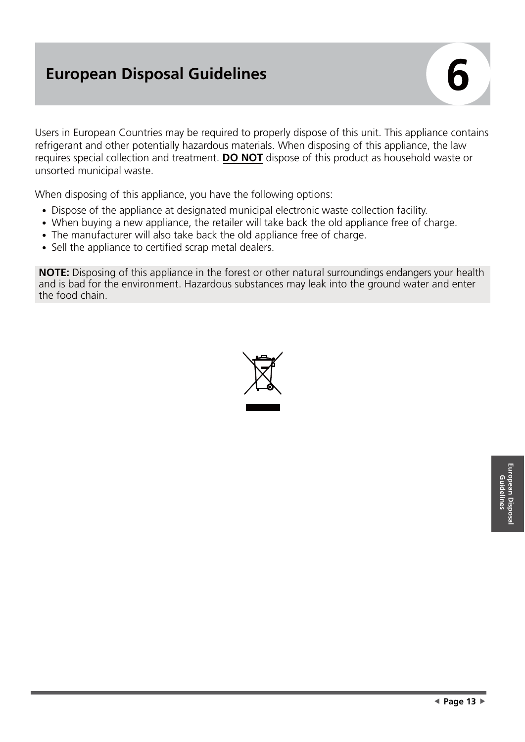# **European Disposal Guidelines 6**

Users in European Countries may be required to properly dispose of this unit. This appliance contains refrigerant and other potentially hazardous materials. When disposing of this appliance, the law requires special collection and treatment. **DO NOT** dispose of this product as household waste or unsorted municipal waste.

When disposing of this appliance, you have the following options:

- Dispose of the appliance at designated municipal electronic waste collection facility.
- When buying a new appliance, the retailer will take back the old appliance free of charge.
- The manufacturer will also take back the old appliance free of charge.
- Sell the appliance to certified scrap metal dealers.

**NOTE:** Disposing of this appliance in the forest or other natural surroundings endangers your health and is bad for the environment. Hazardous substances may leak into the ground water and enter the food chain.